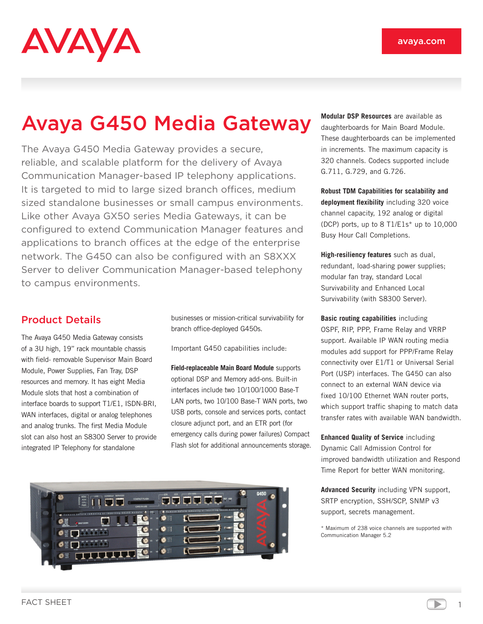

# Avaya G450 Media Gateway

The Avaya G450 Media Gateway provides a secure, reliable, and scalable platform for the delivery of Avaya Communication Manager-based IP telephony applications. It is targeted to mid to large sized branch offices, medium sized standalone businesses or small campus environments. Like other Avaya GX50 series Media Gateways, it can be configured to extend Communication Manager features and applications to branch offices at the edge of the enterprise network. The G450 can also be configured with an S8XXX Server to deliver Communication Manager-based telephony to campus environments.

## Product Details

The Avaya G450 Media Gateway consists of a 3U high, 19" rack mountable chassis with field- removable Supervisor Main Board Module, Power Supplies, Fan Tray, DSP resources and memory. It has eight Media Module slots that host a combination of interface boards to support T1/E1, ISDN-BRI, WAN interfaces, digital or analog telephones and analog trunks. The first Media Module slot can also host an S8300 Server to provide integrated IP Telephony for standalone

businesses or mission-critical survivability for branch office-deployed G450s.

Important G450 capabilities include:

**Field-replaceable Main Board Module** supports optional DSP and Memory add-ons. Built-in interfaces include two 10/100/1000 Base-T LAN ports, two 10/100 Base-T WAN ports, two USB ports, console and services ports, contact closure adjunct port, and an ETR port (for emergency calls during power failures) Compact Flash slot for additional announcements storage.



**Modular DSP Resources** are available as daughterboards for Main Board Module. These daughterboards can be implemented in increments. The maximum capacity is 320 channels. Codecs supported include G.711, G.729, and G.726.

**Robust TDM Capabilities for scalability and deployment flexibility** including 320 voice channel capacity, 192 analog or digital (DCP) ports, up to 8 T1/E1s\* up to 10,000 Busy Hour Call Completions.

**High-resiliency features** such as dual, redundant, load-sharing power supplies; modular fan tray, standard Local Survivability and Enhanced Local Survivability (with S8300 Server).

**Basic routing capabilities** including OSPF, RIP, PPP, Frame Relay and VRRP support. Available IP WAN routing media modules add support for PPP/Frame Relay connectivity over E1/T1 or Universal Serial Port (USP) interfaces. The G450 can also connect to an external WAN device via fixed 10/100 Ethernet WAN router ports, which support traffic shaping to match data transfer rates with available WAN bandwidth.

**Enhanced Quality of Service** including Dynamic Call Admission Control for improved bandwidth utilization and Respond Time Report for better WAN monitoring.

**Advanced Security** including VPN support, SRTP encryption, SSH/SCP, SNMP v3 support, secrets management.

1

<sup>\*</sup> Maximum of 238 voice channels are supported with Communication Manager 5.2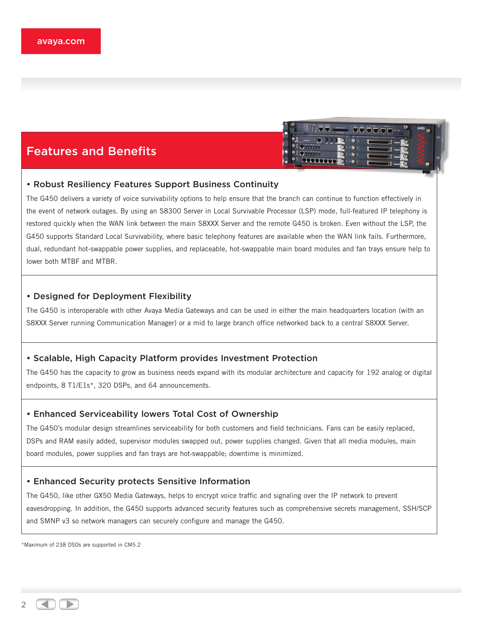# Features and Benefits



#### • Robust Resiliency Features Support Business Continuity

The G450 delivers a variety of voice survivability options to help ensure that the branch can continue to function effectively in the event of network outages. By using an S8300 Server in Local Survivable Processor (LSP) mode, full-featured IP telephony is restored quickly when the WAN link between the main S8XXX Server and the remote G450 is broken. Even without the LSP, the G450 supports Standard Local Survivability, where basic telephony features are available when the WAN link fails. Furthermore, dual, redundant hot-swappable power supplies, and replaceable, hot-swappable main board modules and fan trays ensure help to lower both MTBF and MTBR.

#### • Designed for Deployment Flexibility

The G450 is interoperable with other Avaya Media Gateways and can be used in either the main headquarters location (with an S8XXX Server running Communication Manager) or a mid to large branch office networked back to a central S8XXX Server.

#### • Scalable, High Capacity Platform provides Investment Protection

The G450 has the capacity to grow as business needs expand with its modular architecture and capacity for 192 analog or digital endpoints, 8 T1/E1s\*, 320 DSPs, and 64 announcements.

#### • Enhanced Serviceability lowers Total Cost of Ownership

The G450's modular design streamlines serviceability for both customers and field technicians. Fans can be easily replaced, DSPs and RAM easily added, supervisor modules swapped out, power supplies changed. Given that all media modules, main board modules, power supplies and fan trays are hot-swappable; downtime is minimized.

#### • Enhanced Security protects Sensitive Information

The G450, like other GX50 Media Gateways, helps to encrypt voice traffic and signaling over the IP network to prevent eavesdropping. In addition, the G450 supports advanced security features such as comprehensive secrets management, SSH/SCP and SMNP v3 so network managers can securely configure and manage the G450.

\*Maximum of 238 DSOs are supported in CM5.2

 $\mathfrak{D}$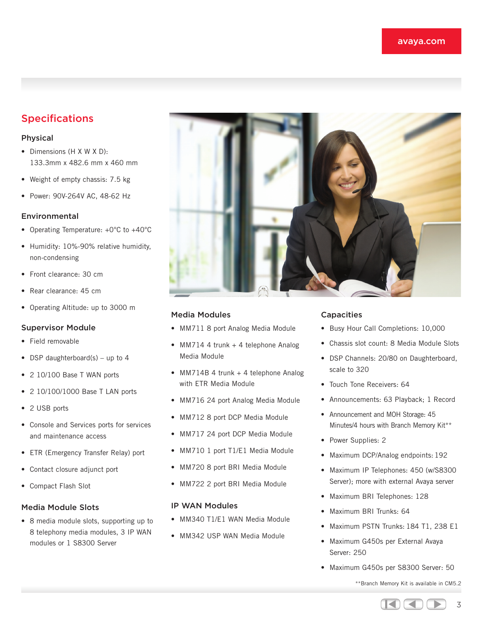# Specifications

#### Physical

- Dimensions (H X W X D): 133.3mm x 482.6 mm x 460 mm
- Weight of empty chassis: 7.5 kg
- Power: 90V-264V AC, 48-62 Hz

#### Environmental

- Operating Temperature: +0°C to +40°C
- Humidity: 10%-90% relative humidity, non-condensing
- Front clearance: 30 cm
- Rear clearance: 45 cm
- Operating Altitude: up to 3000 m

#### Supervisor Module

- Field removable
- DSP daughterboard(s) up to  $4$
- 2 10/100 Base T WAN ports
- 2 10/100/1000 Base T LAN ports
- 2 USB ports
- Console and Services ports for services and maintenance access
- ETR (Emergency Transfer Relay) port
- Contact closure adjunct port
- Compact Flash Slot

#### Media Module Slots

• 8 media module slots, supporting up to 8 telephony media modules, 3 IP WAN modules or 1 S8300 Server



#### Media Modules

- MM711 8 port Analog Media Module
- MM714 4 trunk + 4 telephone Analog Media Module
- MM714B 4 trunk + 4 telephone Analog with ETR Media Module
- MM716 24 port Analog Media Module
- MM712 8 port DCP Media Module
- MM717 24 port DCP Media Module
- MM710 1 port T1/E1 Media Module
- MM720 8 port BRI Media Module
- MM722 2 port BRI Media Module

#### IP WAN Modules

- MM340 T1/E1 WAN Media Module
- MM342 USP WAN Media Module

#### Capacities

- Busy Hour Call Completions: 10,000
- Chassis slot count: 8 Media Module Slots
- DSP Channels: 20/80 on Daughterboard, scale to 320
- Touch Tone Receivers: 64
- Announcements: 63 Playback; 1 Record
- Announcement and MOH Storage: 45 Minutes/4 hours with Branch Memory Kit\*\*
- Power Supplies: 2
- Maximum DCP/Analog endpoints: 192
- Maximum IP Telephones: 450 (w/S8300 Server); more with external Avaya server
- Maximum BRI Telephones: 128
- Maximum BRI Trunks: 64
- Maximum PSTN Trunks: 184 T1, 238 E1
- Maximum G450s per External Avaya Server: 250
- Maximum G450s per S8300 Server: 50

\*\*Branch Memory Kit is available in CM5.2